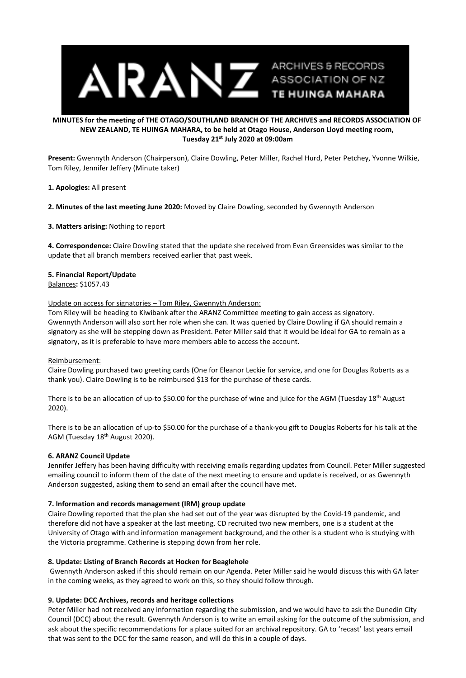

## **MINUTES for the meeting of THE OTAGO/SOUTHLAND BRANCH OF THE ARCHIVES and RECORDS ASSOCIATION OF NEW ZEALAND, TE HUINGA MAHARA, to be held at Otago House, Anderson Lloyd meeting room, Tuesday 21st July 2020 at 09:00am**

**Present:** Gwennyth Anderson (Chairperson), Claire Dowling, Peter Miller, Rachel Hurd, Peter Petchey, Yvonne Wilkie, Tom Riley, Jennifer Jeffery (Minute taker)

## **1. Apologies:** All present

**2. Minutes of the last meeting June 2020:** Moved by Claire Dowling, seconded by Gwennyth Anderson

## **3. Matters arising:** Nothing to report

**4. Correspondence:** Claire Dowling stated that the update she received from Evan Greensides was similar to the update that all branch members received earlier that past week.

# **5. Financial Report/Update**

Balances**:** \$1057.43

## Update on access for signatories – Tom Riley, Gwennyth Anderson:

Tom Riley will be heading to Kiwibank after the ARANZ Committee meeting to gain access as signatory. Gwennyth Anderson will also sort her role when she can. It was queried by Claire Dowling if GA should remain a signatory as she will be stepping down as President. Peter Miller said that it would be ideal for GA to remain as a signatory, as it is preferable to have more members able to access the account.

# Reimbursement:

Claire Dowling purchased two greeting cards (One for Eleanor Leckie for service, and one for Douglas Roberts as a thank you). Claire Dowling is to be reimbursed \$13 for the purchase of these cards.

There is to be an allocation of up-to \$50.00 for the purchase of wine and juice for the AGM (Tuesday 18<sup>th</sup> August 2020).

There is to be an allocation of up-to \$50.00 for the purchase of a thank-you gift to Douglas Roberts for his talk at the AGM (Tuesday 18<sup>th</sup> August 2020).

# **6. ARANZ Council Update**

Jennifer Jeffery has been having difficulty with receiving emails regarding updates from Council. Peter Miller suggested emailing council to inform them of the date of the next meeting to ensure and update is received, or as Gwennyth Anderson suggested, asking them to send an email after the council have met.

#### **7. Information and records management (IRM) group update**

Claire Dowling reported that the plan she had set out of the year was disrupted by the Covid-19 pandemic, and therefore did not have a speaker at the last meeting. CD recruited two new members, one is a student at the University of Otago with and information management background, and the other is a student who is studying with the Victoria programme. Catherine is stepping down from her role.

#### **8. Update: Listing of Branch Records at Hocken for Beaglehole**

Gwennyth Anderson asked if this should remain on our Agenda. Peter Miller said he would discuss this with GA later in the coming weeks, as they agreed to work on this, so they should follow through.

# **9. Update: DCC Archives, records and heritage collections**

Peter Miller had not received any information regarding the submission, and we would have to ask the Dunedin City Council (DCC) about the result. Gwennyth Anderson is to write an email asking for the outcome of the submission, and ask about the specific recommendations for a place suited for an archival repository. GA to 'recast' last years email that was sent to the DCC for the same reason, and will do this in a couple of days.